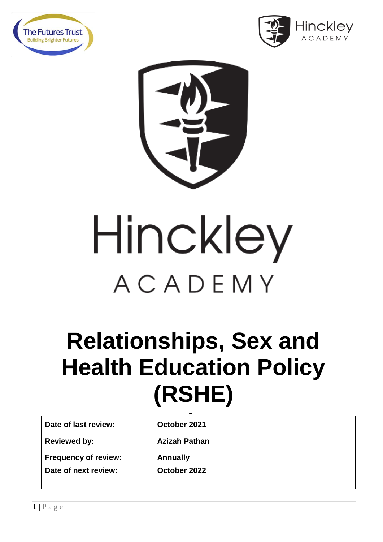





# Hinckley ACADEMY

# **Relationships, Sex and Health Education Policy (RSHE)**

**Date of last review: October 2021**

**September 2021** 

**Reviewed by: Azizah Pathan** 

**Frequency of review: Date of next review:** 

**Annually<br>October 2022**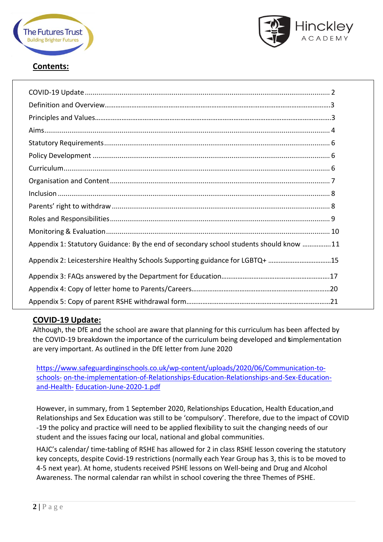



# **Contents:**

| Appendix 1: Statutory Guidance: By the end of secondary school students should know 11 |
|----------------------------------------------------------------------------------------|
| Appendix 2: Leicestershire Healthy Schools Supporting guidance for LGBTQ+ 15           |
|                                                                                        |
|                                                                                        |
|                                                                                        |

# **COVID-19 Update:**

Although, the DfE and the school are aware that planning for this curriculum has been affected by the COVID-19 breakdown the importance of the curriculum being developed and simplementation are very important. As outlined in the DfE letter from June 2020

[https://www.safeguardinginschools.co.uk/wp-content/uploads/2020/06/Communication-to](https://www.safeguardinginschools.co.uk/wp-content/uploads/2020/06/Communication-to-schools-on-the-implementation-of-Relationships-Education-Relationships-and-Sex-Education-and-Health-Education-June-2020-1.pdf)[schools-](https://www.safeguardinginschools.co.uk/wp-content/uploads/2020/06/Communication-to-schools-on-the-implementation-of-Relationships-Education-Relationships-and-Sex-Education-and-Health-Education-June-2020-1.pdf) [on-the-implementation-of-Relationships-Education-Relationships-and-Sex-Education](https://www.safeguardinginschools.co.uk/wp-content/uploads/2020/06/Communication-to-schools-on-the-implementation-of-Relationships-Education-Relationships-and-Sex-Education-and-Health-Education-June-2020-1.pdf)[and-Health-](https://www.safeguardinginschools.co.uk/wp-content/uploads/2020/06/Communication-to-schools-on-the-implementation-of-Relationships-Education-Relationships-and-Sex-Education-and-Health-Education-June-2020-1.pdf) [Education-June-2020-1.pdf](https://www.safeguardinginschools.co.uk/wp-content/uploads/2020/06/Communication-to-schools-on-the-implementation-of-Relationships-Education-Relationships-and-Sex-Education-and-Health-Education-June-2020-1.pdf)

However, in summary, from 1 September 2020, Relationships Education, Health Education,and Relationships and Sex Education was still to be 'compulsory'. Therefore, due to the impact of COVID -19 the policy and practice will need to be applied flexibility to suit the changing needs of our student and the issues facing our local, national and global communities.

HAJC's calendar/ time-tabling of RSHE has allowed for 2 in class RSHE lesson covering the statutory key concepts, despite Covid-19 restrictions (normally each Year Group has 3, this is to be moved to 4-5 next year). At home, students received PSHE lessons on Well-being and Drug and Alcohol Awareness. The normal calendar ran whilst in school covering the three Themes of PSHE.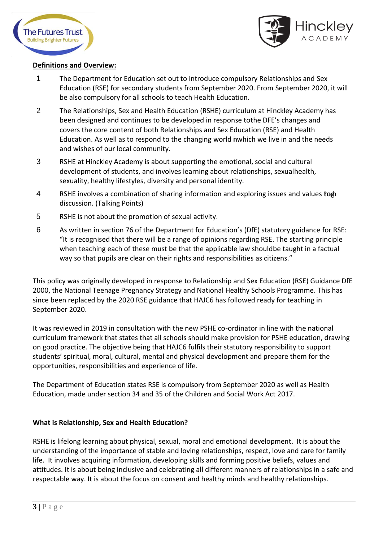



### **Definitions and Overview:**

- 1 The Department for Education set out to introduce compulsory Relationships and Sex Education (RSE) for secondary students from September 2020. From September 2020, it will be also compulsory for all schools to teach Health Education.
- 2 The Relationships, Sex and Health Education (RSHE) curriculum at Hinckley Academy has been designed and continues to be developed in response tothe DFE's changes and covers the core content of both Relationships and Sex Education (RSE) and Health Education. As well as to respond to the changing world inwhich we live in and the needs and wishes of our local community.
- 3 RSHE at Hinckley Academy is about supporting the emotional, social and cultural development of students, and involves learning about relationships, sexualhealth, sexuality, healthy lifestyles, diversity and personal identity.
- 4 RSHE involves a combination of sharing information and exploring issues and values to the discussion. (Talking Points)
- 5 RSHE is not about the promotion of sexual activity.
- 6 As written in section 76 of the Department for Education's (DfE) statutory guidance for RSE: "It is recognised that there will be a range of opinions regarding RSE. The starting principle when teaching each of these must be that the applicable law shouldbe taught in a factual way so that pupils are clear on their rights and responsibilities as citizens."

This policy was originally developed in response to Relationship and Sex Education (RSE) Guidance DfE 2000, the National Teenage Pregnancy Strategy and National Healthy Schools Programme. This has since been replaced by the 2020 RSE guidance that HAJC6 has followed ready for teaching in September 2020.

It was reviewed in 2019 in consultation with the new PSHE co-ordinator in line with the national curriculum framework that states that all schools should make provision for PSHE education, drawing on good practice. The objective being that HAJC6 fulfils their statutory responsibility to support students' spiritual, moral, cultural, mental and physical development and prepare them for the opportunities, responsibilities and experience of life.

The Department of Education states RSE is compulsory from September 2020 as well as Health Education, made under section 34 and 35 of the Children and Social Work Act 2017.

# **What is Relationship, Sex and Health Education?**

RSHE is lifelong learning about physical, sexual, moral and emotional development. It is about the understanding of the importance of stable and loving relationships, respect, love and care for family life. It involves acquiring information, developing skills and forming positive beliefs, values and attitudes. It is about being inclusive and celebrating all different manners of relationships in a safe and respectable way. It is about the focus on consent and healthy minds and healthy relationships.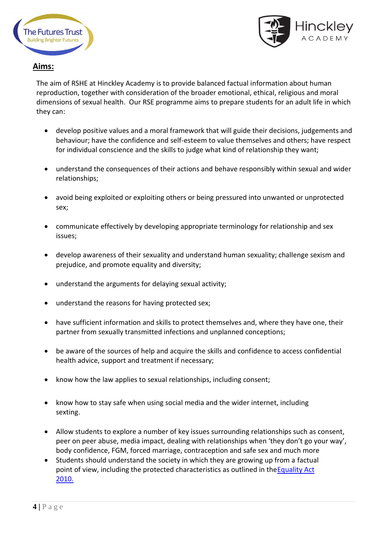



# **Aims:**

The aim of RSHE at Hinckley Academy is to provide balanced factual information about human reproduction, together with consideration of the broader emotional, ethical, religious and moral dimensions of sexual health. Our RSE programme aims to prepare students for an adult life in which they can:

- develop positive values and a moral framework that will guide their decisions, judgements and behaviour; have the confidence and self-esteem to value themselves and others; have respect for individual conscience and the skills to judge what kind of relationship they want;
- understand the consequences of their actions and behave responsibly within sexual and wider relationships;
- avoid being exploited or exploiting others or being pressured into unwanted or unprotected sex;
- communicate effectively by developing appropriate terminology for relationship and sex issues;
- develop awareness of their sexuality and understand human sexuality; challenge sexism and prejudice, and promote equality and diversity;
- understand the arguments for delaying sexual activity;
- understand the reasons for having protected sex;
- have sufficient information and skills to protect themselves and, where they have one, their partner from sexually transmitted infections and unplanned conceptions;
- be aware of the sources of help and acquire the skills and confidence to access confidential health advice, support and treatment if necessary;
- know how the law applies to sexual relationships, including consent;
- know how to stay safe when using social media and the wider internet, including sexting.
- Allow students to explore a number of key issues surrounding relationships such as consent, peer on peer abuse, media impact, dealing with relationships when 'they don't go your way', body confidence, FGM, forced marriage, contraception and safe sex and much more
- Students should understand the society in which they are growing up from a factual point of view, including the protected characteristics as outlined in th[eEquality](http://www.legislation.gov.uk/ukpga/2010/15/contents) Act [2010.](http://www.legislation.gov.uk/ukpga/2010/15/contents)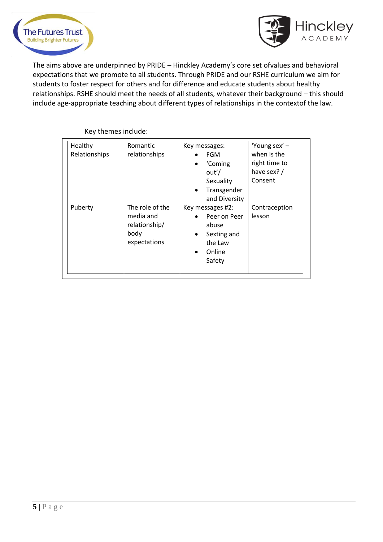



The aims above are underpinned by PRIDE – Hinckley Academy's core set ofvalues and behavioral expectations that we promote to all students. Through PRIDE and our RSHE curriculum we aim for students to foster respect for others and for difference and educate students about healthy relationships. RSHE should meet the needs of all students, whatever their background – this should include age-appropriate teaching about different types of relationships in the contextof the law.

| Healthy<br>Relationships | Romantic<br>relationships                                             | Key messages:<br><b>FGM</b><br>'Coming<br>$\bullet$<br>out'/<br>Sexuality<br>Transgender<br>$\bullet$<br>and Diversity | 'Young sex' -<br>when is the<br>right time to<br>have sex? /<br>Consent |
|--------------------------|-----------------------------------------------------------------------|------------------------------------------------------------------------------------------------------------------------|-------------------------------------------------------------------------|
| Puberty                  | The role of the<br>media and<br>relationship/<br>body<br>expectations | Key messages #2:<br>Peer on Peer<br>abuse<br>Sexting and<br>$\bullet$<br>the Law<br>Online<br>$\bullet$<br>Safety      | Contraception<br>lesson                                                 |

Key themes include: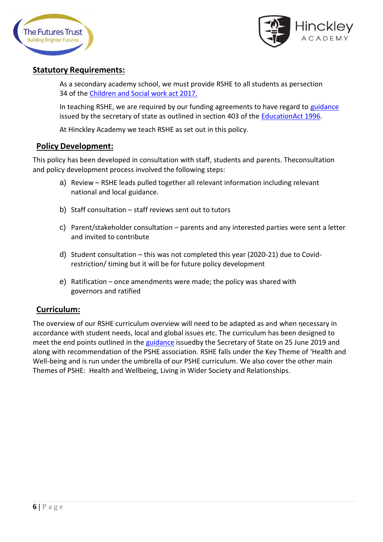



# **Statutory Requirements:**

As a secondary academy school, we must provide RSHE to all students as persection 34 of the [Children and](http://www.legislation.gov.uk/ukpga/2017/16/section/34/enacted) Social work act 2017.

In teaching RSHE, we are required by our funding agreements to have regard to [guidance](https://www.gov.uk/government/consultations/relationships-and-sex-education-and-health-education) issued by the secretary of state as outlined in section 403 of the **EducationAct 1996**.

At Hinckley Academy we teach RSHE as set out in this policy.

# **Policy Development:**

This policy has been developed in consultation with staff, students and parents. Theconsultation and policy development process involved the following steps:

- a) Review RSHE leads pulled together all relevant information including relevant national and local guidance.
- b) Staff consultation staff reviews sent out to tutors
- c) Parent/stakeholder consultation parents and any interested parties were sent a letter and invited to contribute
- d) Student consultation this was not completed this year (2020-21) due to Covidrestriction/ timing but it will be for future policy development
- e) Ratification once amendments were made; the policy was shared with governors and ratified

# **Curriculum:**

The overview of our RSHE curriculum overview will need to be adapted as and when necessary in accordance with student needs, local and global issues etc. The curriculum has been designed to meet the end points outlined in the [guidance](https://assets.publishing.service.gov.uk/government/uploads/system/uploads/attachment_data/file/805781/Relationships_Education__Relationships_and_Sex_Education__RSE__and_Health_Education.pdf) issuedby the Secretary of State on 25 June 2019 and along with recommendation of the PSHE association. RSHE falls under the Key Theme of 'Health and Well-being and is run under the umbrella of our PSHE curriculum. We also cover the other main Themes of PSHE: Health and Wellbeing, Living in Wider Society and Relationships.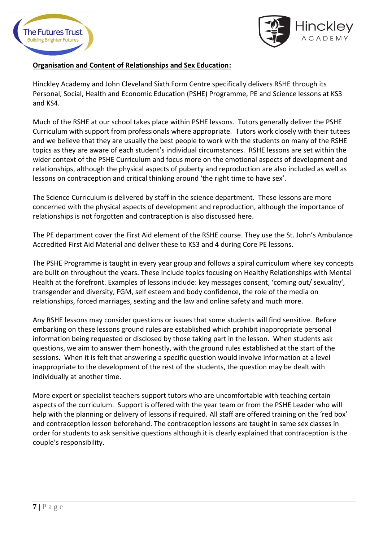



# **Organisation and Content of Relationships and Sex Education:**

Hinckley Academy and John Cleveland Sixth Form Centre specifically delivers RSHE through its Personal, Social, Health and Economic Education (PSHE) Programme, PE and Science lessons at KS3 and KS4.

Much of the RSHE at our school takes place within PSHE lessons. Tutors generally deliver the PSHE Curriculum with support from professionals where appropriate. Tutors work closely with their tutees and we believe that they are usually the best people to work with the students on many of the RSHE topics as they are aware of each student's individual circumstances. RSHE lessons are set within the wider context of the PSHE Curriculum and focus more on the emotional aspects of development and relationships, although the physical aspects of puberty and reproduction are also included as well as lessons on contraception and critical thinking around 'the right time to have sex'.

The Science Curriculum is delivered by staff in the science department. These lessons are more concerned with the physical aspects of development and reproduction, although the importance of relationships is not forgotten and contraception is also discussed here.

The PE department cover the First Aid element of the RSHE course. They use the St. John's Ambulance Accredited First Aid Material and deliver these to KS3 and 4 during Core PE lessons.

The PSHE Programme is taught in every year group and follows a spiral curriculum where key concepts are built on throughout the years. These include topics focusing on Healthy Relationships with Mental Health at the forefront. Examples of lessons include: key messages consent, 'coming out/ sexuality', transgender and diversity, FGM, self esteem and body confidence, the role of the media on relationships, forced marriages, sexting and the law and online safety and much more.

Any RSHE lessons may consider questions or issues that some students will find sensitive. Before embarking on these lessons ground rules are established which prohibit inappropriate personal information being requested or disclosed by those taking part in the lesson. When students ask questions, we aim to answer them honestly, with the ground rules established at the start of the sessions. When it is felt that answering a specific question would involve information at a level inappropriate to the development of the rest of the students, the question may be dealt with individually at another time.

More expert or specialist teachers support tutors who are uncomfortable with teaching certain aspects of the curriculum. Support is offered with the year team or from the PSHE Leader who will help with the planning or delivery of lessons if required. All staff are offered training on the 'red box' and contraception lesson beforehand. The contraception lessons are taught in same sex classes in order for students to ask sensitive questions although it is clearly explained that contraception is the couple's responsibility.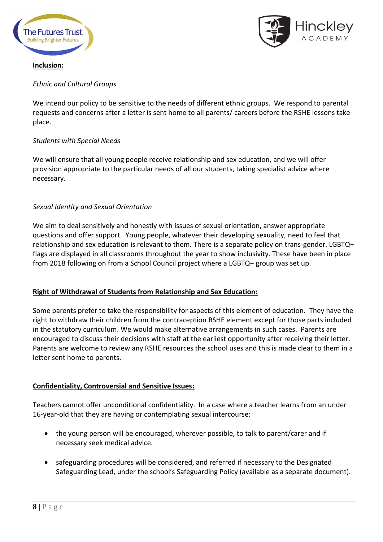



# **Inclusion:**

# *Ethnic and Cultural Groups*

We intend our policy to be sensitive to the needs of different ethnic groups. We respond to parental requests and concerns after a letter is sent home to all parents/ careers before the RSHE lessons take place.

# *Students with Special Needs*

We will ensure that all young people receive relationship and sex education, and we will offer provision appropriate to the particular needs of all our students, taking specialist advice where necessary.

# *Sexual Identity and Sexual Orientation*

We aim to deal sensitively and honestly with issues of sexual orientation, answer appropriate questions and offer support. Young people, whatever their developing sexuality, need to feel that relationship and sex education is relevant to them. There is a separate policy on trans-gender. LGBTQ+ flags are displayed in all classrooms throughout the year to show inclusivity. These have been in place from 2018 following on from a School Council project where a LGBTQ+ group was set up.

# **Right of Withdrawal of Students from Relationship and Sex Education:**

Some parents prefer to take the responsibility for aspects of this element of education. They have the right to withdraw their children from the contraception RSHE element except for those parts included in the statutory curriculum. We would make alternative arrangements in such cases. Parents are encouraged to discuss their decisions with staff at the earliest opportunity after receiving their letter. Parents are welcome to review any RSHE resources the school uses and this is made clear to them in a letter sent home to parents.

# **Confidentiality, Controversial and Sensitive Issues:**

Teachers cannot offer unconditional confidentiality. In a case where a teacher learns from an under 16-year-old that they are having or contemplating sexual intercourse:

- the young person will be encouraged, wherever possible, to talk to parent/carer and if necessary seek medical advice.
- safeguarding procedures will be considered, and referred if necessary to the Designated Safeguarding Lead, under the school's Safeguarding Policy (available as a separate document).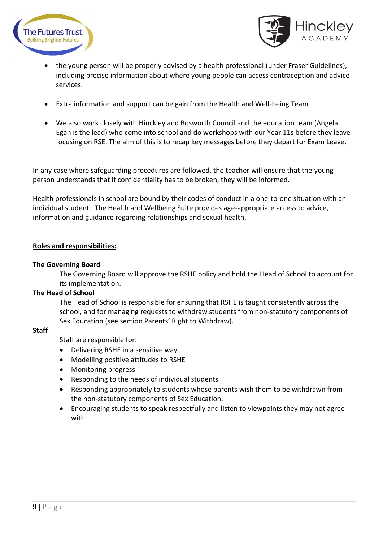



- the young person will be properly advised by a health professional (under Fraser Guidelines), including precise information about where young people can access contraception and advice services.
- Extra information and support can be gain from the Health and Well-being Team
- We also work closely with Hinckley and Bosworth Council and the education team (Angela Egan is the lead) who come into school and do workshops with our Year 11s before they leave focusing on RSE. The aim of this is to recap key messages before they depart for Exam Leave.

In any case where safeguarding procedures are followed, the teacher will ensure that the young person understands that if confidentiality has to be broken, they will be informed.

Health professionals in school are bound by their codes of conduct in a one-to-one situation with an individual student. The Health and Wellbeing Suite provides age-appropriate access to advice, information and guidance regarding relationships and sexual health.

# **Roles and responsibilities:**

# **The Governing Board**

The Governing Board will approve the RSHE policy and hold the Head of School to account for its implementation.

# **The Head of School**

The Head of School is responsible for ensuring that RSHE is taught consistently across the school, and for managing requests to withdraw students from non-statutory components of Sex Education (see section Parents' Right to Withdraw).

# **Staff**

Staff are responsible for:

- Delivering RSHE in a sensitive way
- Modelling positive attitudes to RSHE
- Monitoring progress
- Responding to the needs of individual students
- Responding appropriately to students whose parents wish them to be withdrawn from the non-statutory components of Sex Education.
- Encouraging students to speak respectfully and listen to viewpoints they may not agree with.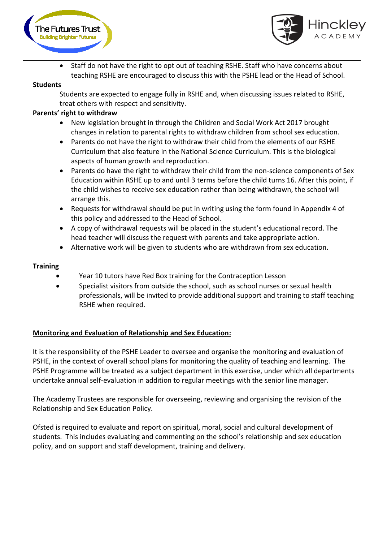



• Staff do not have the right to opt out of teaching RSHE. Staff who have concerns about teaching RSHE are encouraged to discuss this with the PSHE lead or the Head of School.

# **Students**

Students are expected to engage fully in RSHE and, when discussing issues related to RSHE, treat others with respect and sensitivity.

# **Parents' right to withdraw**

- New legislation brought in through the Children and Social Work Act 2017 brought changes in relation to parental rights to withdraw children from school sex education.
- Parents do not have the right to withdraw their child from the elements of our RSHE Curriculum that also feature in the National Science Curriculum. This is the biological aspects of human growth and reproduction.
- Parents do have the right to withdraw their child from the non-science components of Sex Education within RSHE up to and until 3 terms before the child turns 16. After this point, if the child wishes to receive sex education rather than being withdrawn, the school will arrange this.
- Requests for withdrawal should be put in writing using the form found in Appendix 4 of this policy and addressed to the Head of School.
- A copy of withdrawal requests will be placed in the student's educational record. The head teacher will discuss the request with parents and take appropriate action.
- Alternative work will be given to students who are withdrawn from sex education.

# **Training**

- Year 10 tutors have Red Box training for the Contraception Lesson
- Specialist visitors from outside the school, such as school nurses or sexual health professionals, will be invited to provide additional support and training to staff teaching RSHE when required.

# **Monitoring and Evaluation of Relationship and Sex Education:**

It is the responsibility of the PSHE Leader to oversee and organise the monitoring and evaluation of PSHE, in the context of overall school plans for monitoring the quality of teaching and learning. The PSHE Programme will be treated as a subject department in this exercise, under which all departments undertake annual self-evaluation in addition to regular meetings with the senior line manager.

The Academy Trustees are responsible for overseeing, reviewing and organising the revision of the Relationship and Sex Education Policy.

Ofsted is required to evaluate and report on spiritual, moral, social and cultural development of students. This includes evaluating and commenting on the school's relationship and sex education policy, and on support and staff development, training and delivery.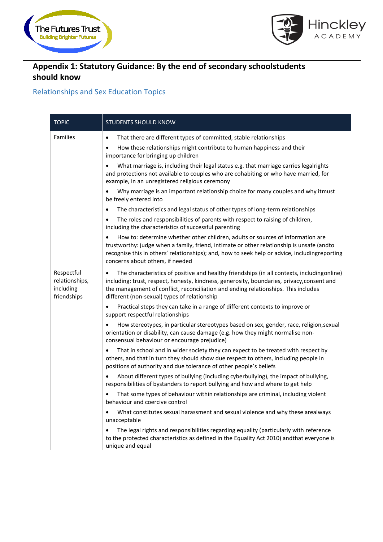



# **Appendix 1: Statutory Guidance: By the end of secondary schoolstudents should know**

# Relationships and Sex Education Topics

| <b>TOPIC</b>                                             | <b>STUDENTS SHOULD KNOW</b>                                                                                                                                                                                                                                                                                                    |
|----------------------------------------------------------|--------------------------------------------------------------------------------------------------------------------------------------------------------------------------------------------------------------------------------------------------------------------------------------------------------------------------------|
| <b>Families</b>                                          | That there are different types of committed, stable relationships<br>$\bullet$<br>How these relationships might contribute to human happiness and their<br>importance for bringing up children                                                                                                                                 |
|                                                          | What marriage is, including their legal status e.g. that marriage carries legalrights<br>and protections not available to couples who are cohabiting or who have married, for<br>example, in an unregistered religious ceremony                                                                                                |
|                                                          | Why marriage is an important relationship choice for many couples and why itmust<br>be freely entered into                                                                                                                                                                                                                     |
|                                                          | The characteristics and legal status of other types of long-term relationships                                                                                                                                                                                                                                                 |
|                                                          | The roles and responsibilities of parents with respect to raising of children,<br>including the characteristics of successful parenting                                                                                                                                                                                        |
|                                                          | How to: determine whether other children, adults or sources of information are<br>trustworthy: judge when a family, friend, intimate or other relationship is unsafe (andto<br>recognise this in others' relationships); and, how to seek help or advice, includingreporting<br>concerns about others, if needed               |
| Respectful<br>relationships,<br>including<br>friendships | The characteristics of positive and healthy friendships (in all contexts, includingonline)<br>including: trust, respect, honesty, kindness, generosity, boundaries, privacy, consent and<br>the management of conflict, reconciliation and ending relationships. This includes<br>different (non-sexual) types of relationship |
|                                                          | Practical steps they can take in a range of different contexts to improve or<br>$\bullet$<br>support respectful relationships                                                                                                                                                                                                  |
|                                                          | How stereotypes, in particular stereotypes based on sex, gender, race, religion, sexual<br>orientation or disability, can cause damage (e.g. how they might normalise non-<br>consensual behaviour or encourage prejudice)                                                                                                     |
|                                                          | That in school and in wider society they can expect to be treated with respect by<br>others, and that in turn they should show due respect to others, including people in<br>positions of authority and due tolerance of other people's beliefs                                                                                |
|                                                          | About different types of bullying (including cyberbullying), the impact of bullying,<br>responsibilities of bystanders to report bullying and how and where to get help                                                                                                                                                        |
|                                                          | That some types of behaviour within relationships are criminal, including violent<br>behaviour and coercive control                                                                                                                                                                                                            |
|                                                          | What constitutes sexual harassment and sexual violence and why these arealways<br>unacceptable                                                                                                                                                                                                                                 |
|                                                          | The legal rights and responsibilities regarding equality (particularly with reference<br>to the protected characteristics as defined in the Equality Act 2010) andthat everyone is<br>unique and equal                                                                                                                         |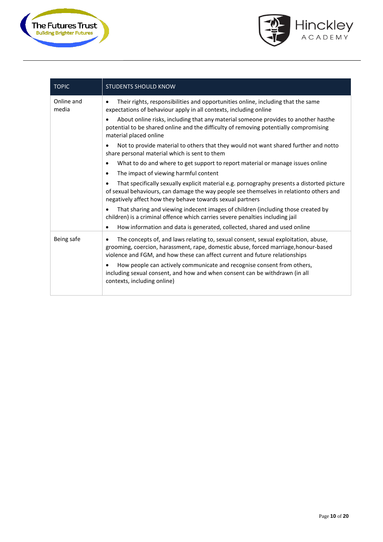



| <b>TOPIC</b>        | <b>STUDENTS SHOULD KNOW</b>                                                                                                                                                                                                                                           |
|---------------------|-----------------------------------------------------------------------------------------------------------------------------------------------------------------------------------------------------------------------------------------------------------------------|
| Online and<br>media | Their rights, responsibilities and opportunities online, including that the same<br>٠<br>expectations of behaviour apply in all contexts, including online                                                                                                            |
|                     | About online risks, including that any material someone provides to another hasthe<br>potential to be shared online and the difficulty of removing potentially compromising<br>material placed online                                                                 |
|                     | Not to provide material to others that they would not want shared further and notto<br>$\bullet$<br>share personal material which is sent to them                                                                                                                     |
|                     | What to do and where to get support to report material or manage issues online<br>$\bullet$                                                                                                                                                                           |
|                     | The impact of viewing harmful content<br>$\bullet$                                                                                                                                                                                                                    |
|                     | That specifically sexually explicit material e.g. pornography presents a distorted picture<br>٠<br>of sexual behaviours, can damage the way people see themselves in relationto others and<br>negatively affect how they behave towards sexual partners               |
|                     | That sharing and viewing indecent images of children (including those created by<br>children) is a criminal offence which carries severe penalties including jail                                                                                                     |
|                     | How information and data is generated, collected, shared and used online<br>$\bullet$                                                                                                                                                                                 |
| Being safe          | The concepts of, and laws relating to, sexual consent, sexual exploitation, abuse,<br>$\bullet$<br>grooming, coercion, harassment, rape, domestic abuse, forced marriage, honour-based<br>violence and FGM, and how these can affect current and future relationships |
|                     | How people can actively communicate and recognise consent from others,<br>including sexual consent, and how and when consent can be withdrawn (in all<br>contexts, including online)                                                                                  |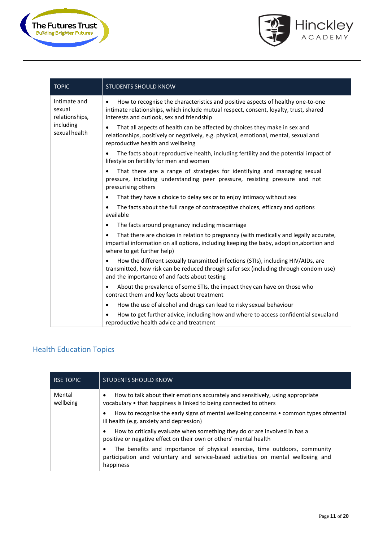



| <b>TOPIC</b>                             | <b>STUDENTS SHOULD KNOW</b>                                                                                                                                                                                                        |
|------------------------------------------|------------------------------------------------------------------------------------------------------------------------------------------------------------------------------------------------------------------------------------|
| Intimate and<br>sexual<br>relationships, | How to recognise the characteristics and positive aspects of healthy one-to-one<br>$\bullet$<br>intimate relationships, which include mutual respect, consent, loyalty, trust, shared<br>interests and outlook, sex and friendship |
| including<br>sexual health               | That all aspects of health can be affected by choices they make in sex and<br>$\bullet$<br>relationships, positively or negatively, e.g. physical, emotional, mental, sexual and<br>reproductive health and wellbeing              |
|                                          | The facts about reproductive health, including fertility and the potential impact of<br>lifestyle on fertility for men and women                                                                                                   |
|                                          | That there are a range of strategies for identifying and managing sexual<br>pressure, including understanding peer pressure, resisting pressure and not<br>pressurising others                                                     |
|                                          | That they have a choice to delay sex or to enjoy intimacy without sex                                                                                                                                                              |
|                                          | The facts about the full range of contraceptive choices, efficacy and options<br>$\bullet$<br>available                                                                                                                            |
|                                          | The facts around pregnancy including miscarriage<br>$\bullet$                                                                                                                                                                      |
|                                          | That there are choices in relation to pregnancy (with medically and legally accurate,<br>impartial information on all options, including keeping the baby, adoption, abortion and<br>where to get further help)                    |
|                                          | How the different sexually transmitted infections (STIs), including HIV/AIDs, are<br>transmitted, how risk can be reduced through safer sex (including through condom use)<br>and the importance of and facts about testing        |
|                                          | About the prevalence of some STIs, the impact they can have on those who<br>$\bullet$<br>contract them and key facts about treatment                                                                                               |
|                                          | How the use of alcohol and drugs can lead to risky sexual behaviour<br>$\bullet$                                                                                                                                                   |
|                                          | How to get further advice, including how and where to access confidential sexualand<br>reproductive health advice and treatment                                                                                                    |

# Health Education Topics

| <b>RSE TOPIC</b>    | <b>STUDENTS SHOULD KNOW</b>                                                                                                                                                 |
|---------------------|-----------------------------------------------------------------------------------------------------------------------------------------------------------------------------|
| Mental<br>wellbeing | How to talk about their emotions accurately and sensitively, using appropriate<br>٠<br>vocabulary • that happiness is linked to being connected to others                   |
|                     | How to recognise the early signs of mental wellbeing concerns • common types of mental<br>٠<br>ill health (e.g. anxiety and depression)                                     |
|                     | How to critically evaluate when something they do or are involved in has a<br>٠<br>positive or negative effect on their own or others' mental health                        |
|                     | The benefits and importance of physical exercise, time outdoors, community<br>participation and voluntary and service-based activities on mental wellbeing and<br>happiness |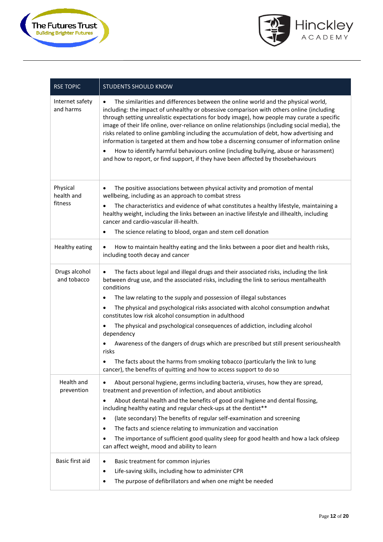



| <b>RSE TOPIC</b>             | <b>STUDENTS SHOULD KNOW</b>                                                                                                                                                                                                                                                                                                                                                                                                                                                                                                                                                                                                                                                                                                                                     |
|------------------------------|-----------------------------------------------------------------------------------------------------------------------------------------------------------------------------------------------------------------------------------------------------------------------------------------------------------------------------------------------------------------------------------------------------------------------------------------------------------------------------------------------------------------------------------------------------------------------------------------------------------------------------------------------------------------------------------------------------------------------------------------------------------------|
| Internet safety<br>and harms | The similarities and differences between the online world and the physical world,<br>$\bullet$<br>including: the impact of unhealthy or obsessive comparison with others online (including<br>through setting unrealistic expectations for body image), how people may curate a specific<br>image of their life online, over-reliance on online relationships (including social media), the<br>risks related to online gambling including the accumulation of debt, how advertising and<br>information is targeted at them and how tobe a discerning consumer of information online<br>How to identify harmful behaviours online (including bullying, abuse or harassment)<br>and how to report, or find support, if they have been affected by thosebehaviours |
| Physical<br>health and       | The positive associations between physical activity and promotion of mental<br>$\bullet$<br>wellbeing, including as an approach to combat stress                                                                                                                                                                                                                                                                                                                                                                                                                                                                                                                                                                                                                |
| fitness                      | The characteristics and evidence of what constitutes a healthy lifestyle, maintaining a<br>$\bullet$<br>healthy weight, including the links between an inactive lifestyle and illhealth, including<br>cancer and cardio-vascular ill-health.                                                                                                                                                                                                                                                                                                                                                                                                                                                                                                                    |
|                              | The science relating to blood, organ and stem cell donation<br>$\bullet$                                                                                                                                                                                                                                                                                                                                                                                                                                                                                                                                                                                                                                                                                        |
| Healthy eating               | How to maintain healthy eating and the links between a poor diet and health risks,<br>$\bullet$<br>including tooth decay and cancer                                                                                                                                                                                                                                                                                                                                                                                                                                                                                                                                                                                                                             |
| Drugs alcohol<br>and tobacco | The facts about legal and illegal drugs and their associated risks, including the link<br>$\bullet$<br>between drug use, and the associated risks, including the link to serious mentalhealth<br>conditions                                                                                                                                                                                                                                                                                                                                                                                                                                                                                                                                                     |
|                              | The law relating to the supply and possession of illegal substances<br>$\bullet$                                                                                                                                                                                                                                                                                                                                                                                                                                                                                                                                                                                                                                                                                |
|                              | The physical and psychological risks associated with alcohol consumption andwhat<br>constitutes low risk alcohol consumption in adulthood                                                                                                                                                                                                                                                                                                                                                                                                                                                                                                                                                                                                                       |
|                              | The physical and psychological consequences of addiction, including alcohol<br>$\bullet$<br>dependency                                                                                                                                                                                                                                                                                                                                                                                                                                                                                                                                                                                                                                                          |
|                              | Awareness of the dangers of drugs which are prescribed but still present serioushealth<br>risks                                                                                                                                                                                                                                                                                                                                                                                                                                                                                                                                                                                                                                                                 |
|                              | The facts about the harms from smoking tobacco (particularly the link to lung<br>$\bullet$<br>cancer), the benefits of quitting and how to access support to do so                                                                                                                                                                                                                                                                                                                                                                                                                                                                                                                                                                                              |
| Health and<br>prevention     | About personal hygiene, germs including bacteria, viruses, how they are spread,<br>$\bullet$<br>treatment and prevention of infection, and about antibiotics                                                                                                                                                                                                                                                                                                                                                                                                                                                                                                                                                                                                    |
|                              | About dental health and the benefits of good oral hygiene and dental flossing,<br>$\bullet$<br>including healthy eating and regular check-ups at the dentist**                                                                                                                                                                                                                                                                                                                                                                                                                                                                                                                                                                                                  |
|                              | (late secondary) The benefits of regular self-examination and screening<br>$\bullet$                                                                                                                                                                                                                                                                                                                                                                                                                                                                                                                                                                                                                                                                            |
|                              | The facts and science relating to immunization and vaccination<br>٠                                                                                                                                                                                                                                                                                                                                                                                                                                                                                                                                                                                                                                                                                             |
|                              | The importance of sufficient good quality sleep for good health and how a lack ofsleep<br>can affect weight, mood and ability to learn                                                                                                                                                                                                                                                                                                                                                                                                                                                                                                                                                                                                                          |
| Basic first aid              | Basic treatment for common injuries<br>$\bullet$                                                                                                                                                                                                                                                                                                                                                                                                                                                                                                                                                                                                                                                                                                                |
|                              | Life-saving skills, including how to administer CPR<br>$\bullet$                                                                                                                                                                                                                                                                                                                                                                                                                                                                                                                                                                                                                                                                                                |
|                              | The purpose of defibrillators and when one might be needed<br>$\bullet$                                                                                                                                                                                                                                                                                                                                                                                                                                                                                                                                                                                                                                                                                         |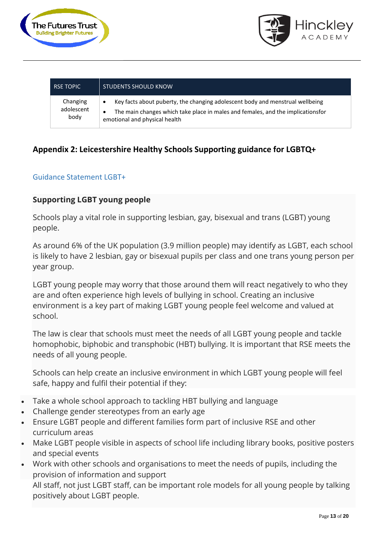



| <b>RSE TOPIC</b> | <b>STUDENTS SHOULD KNOW</b>                                                     |
|------------------|---------------------------------------------------------------------------------|
| Changing         | Key facts about puberty, the changing adolescent body and menstrual wellbeing   |
| adolescent       | The main changes which take place in males and females, and the implicationsfor |
| body             | emotional and physical health                                                   |

# **Appendix 2: Leicestershire Healthy Schools Supporting guidance for LGBTQ+**

# Guidance Statement LGBT+

# **Supporting LGBT young people**

Schools play a vital role in supporting lesbian, gay, bisexual and trans (LGBT) young people.

As around 6% of the UK population (3.9 million people) may identify as LGBT, each school is likely to have 2 lesbian, gay or bisexual pupils per class and one trans young person per year group.

LGBT young people may worry that those around them will react negatively to who they are and often experience high levels of bullying in school. Creating an inclusive environment is a key part of making LGBT young people feel welcome and valued at school.

The law is clear that schools must meet the needs of all LGBT young people and tackle homophobic, biphobic and transphobic (HBT) bullying. It is important that RSE meets the needs of all young people.

Schools can help create an inclusive environment in which LGBT young people will feel safe, happy and fulfil their potential if they:

- Take a whole school approach to tackling HBT bullying and language
- Challenge gender stereotypes from an early age
- Ensure LGBT people and different families form part of inclusive RSE and other curriculum areas
- Make LGBT people visible in aspects of school life including library books, positive posters and special events
- Work with other schools and organisations to meet the needs of pupils, including the provision of information and support

All staff, not just LGBT staff, can be important role models for all young people by talking positively about LGBT people.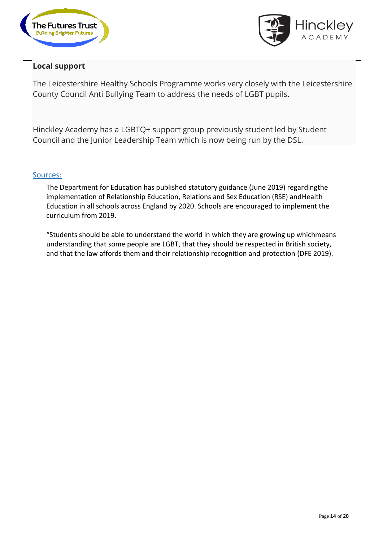



# **Local support**

The Leicestershire Healthy Schools Programme works very closely with the Leicestershire County Council Anti Bullying Team to address the needs of LGBT pupils.

Hinckley Academy has a LGBTQ+ support group previously student led by Student Council and the Junior Leadership Team which is now being run by the DSL.

# Sources:

The Department for Education has published statutory guidance (June 2019) regardingthe implementation of Relationship Education, Relations and Sex Education (RSE) andHealth Education in all schools across England by 2020. Schools are encouraged to implement the curriculum from 2019.

"Students should be able to understand the world in which they are growing up whichmeans understanding that some people are LGBT, that they should be respected in British society, and that the law affords them and their relationship recognition and protection (DFE 2019).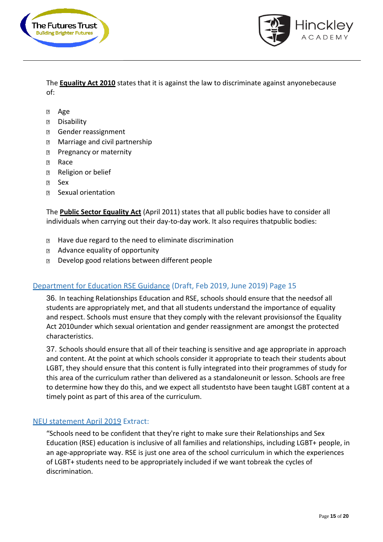



The **Equality Act 2010** states that it is against the law to discriminate against anyonebecause of:

- $\overline{2}$ Age
- Disability  $\boxed{2}$
- $\boxed{3}$ Gender reassignment
- Marriage and civil partnership  $\overline{?}$
- Pregnancy or maternity  $\boxed{3}$
- Race  $\overline{R}$
- Religion or belief  $\overline{2}$
- $\overline{?}$ Sex
- Sexual orientation  $\overline{?}$

The **Public Sector Equality Act** (April 2011) states that all public bodies have to consider all individuals when carrying out their day-to-day work. It also requires thatpublic bodies:

- **■** Have due regard to the need to eliminate discrimination
- Advance equality of opportunity
- **D** Develop good relations between different people

# Department for Education RSE Guidance (Draft, Feb 2019, June 2019) Page 15

36. In teaching Relationships Education and RSE, schools should ensure that the needsof all students are appropriately met, and that all students understand the importance of equality and respect. Schools must ensure that they comply with the relevant provisionsof the Equality Act 2010under which sexual orientation and gender reassignment are amongst the protected characteristics.

37. Schools should ensure that all of their teaching is sensitive and age appropriate in approach and content. At the point at which schools consider it appropriate to teach their students about LGBT, they should ensure that this content is fully integrated into their programmes of study for this area of the curriculum rather than delivered as a standaloneunit or lesson. Schools are free to determine how they do this, and we expect all studentsto have been taught LGBT content at a timely point as part of this area of the curriculum.

# NEU statement April 2019 Extract:

"Schools need to be confident that they're right to make sure their Relationships and Sex Education (RSE) education is inclusive of all families and relationships, including LGBT+ people, in an age-appropriate way. RSE is just one area of the school curriculum in which the experiences of LGBT+ students need to be appropriately included if we want tobreak the cycles of discrimination.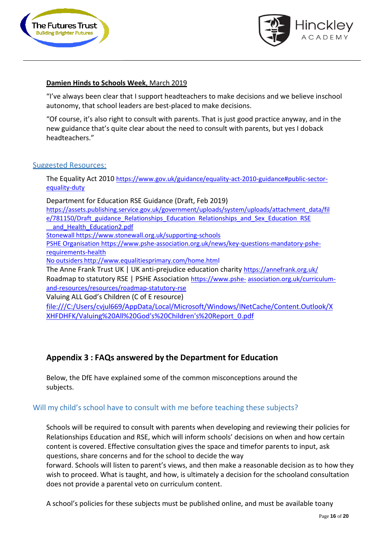



# **Damien Hinds to Schools Week**, March 2019

"I've always been clear that I support headteachers to make decisions and we believe inschool autonomy, that school leaders are best-placed to make decisions.

"Of course, it's also right to consult with parents. That is just good practice anyway, and in the new guidance that's quite clear about the need to consult with parents, but yes I doback headteachers."

# Suggested Resources:

The Equality Act 2010 [https://www.gov.uk/guidance/equality-act-2010-guidance#public-sector](https://www.gov.uk/guidance/equality-act-2010-guidance#public-sector-equality-duty)[equality-duty](https://www.gov.uk/guidance/equality-act-2010-guidance#public-sector-equality-duty)

Department for Education RSE Guidance (Draft, Feb 2019) [https://assets.publishing.service.gov.uk/government/uploads/system/uploads/attachment\\_data/fil](https://assets.publishing.service.gov.uk/government/uploads/system/uploads/attachment_data/file/781150/Draft_guidance_Relationships_Education__Relationships_and_Sex_Education__RSE__and_Health_Education2.pdf) [e/781150/Draft\\_guidance\\_Relationships\\_Education](https://assets.publishing.service.gov.uk/government/uploads/system/uploads/attachment_data/file/781150/Draft_guidance_Relationships_Education__Relationships_and_Sex_Education__RSE__and_Health_Education2.pdf)\_Relationships\_and\_Sex\_Education\_RSE and Health Education2.pdf Stonewall <https://www.stonewall.org.uk/supporting-schools> PSHE Organisation [https://www.pshe-association.org.uk/news/key-questions-mandatory-pshe](https://www.pshe-association.org.uk/news/key-questions-mandatory-pshe-requirements-health)[requirements-health](https://www.pshe-association.org.uk/news/key-questions-mandatory-pshe-requirements-health) No outsiders <http://www.equalitiesprimary.com/home.html> The Anne Frank Trust UK | UK anti-prejudice education charity <https://annefrank.org.uk/> Roadmap to statutory RSE | PSHE Association [https://www.pshe-](https://protect-eu.mimecast.com/s/VX1vCmwK2spmDjwfOSfDi?domain=pshe-association.org.uk)[association.org.uk/curriculum](https://protect-eu.mimecast.com/s/VX1vCmwK2spmDjwfOSfDi?domain=pshe-association.org.uk)[and-resources/resources/roadmap-statutory-rse](https://protect-eu.mimecast.com/s/VX1vCmwK2spmDjwfOSfDi?domain=pshe-association.org.uk) Valuing ALL God's Children (C of E resource) file:///C:/Users/cvjul669/AppData/Local/Microsoft/Windows/INetCache/Content.Outlook/X

XHFDHFK/Valuing%20All%20God's%20Children's%20Report\_0.pdf

# **Appendix 3 : FAQs answered by the Department for Education**

Below, the DfE have explained some of the common misconceptions around the subjects.

# Will my child's school have to consult with me before teaching these subjects?

Schools will be required to consult with parents when developing and reviewing their policies for Relationships Education and RSE, which will inform schools' decisions on when and how certain content is covered. Effective consultation gives the space and timefor parents to input, ask questions, share concerns and for the school to decide the way

forward. Schools will listen to parent's views, and then make a reasonable decision as to how they wish to proceed. What is taught, and how, is ultimately a decision for the schooland consultation does not provide a parental veto on curriculum content.

A school's policies for these subjects must be published online, and must be available toany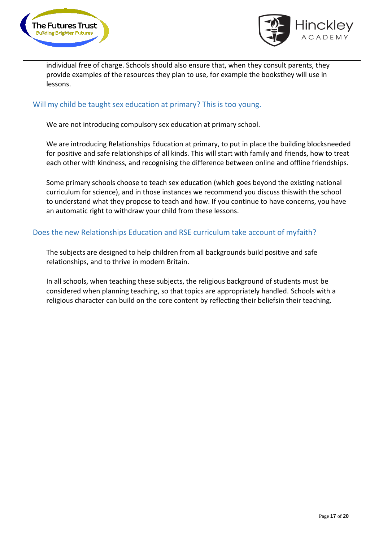



individual free of charge. Schools should also ensure that, when they consult parents, they provide examples of the resources they plan to use, for example the booksthey will use in lessons.

# Will my child be taught sex education at primary? This is too young.

We are not introducing compulsory sex education at primary school.

We are introducing Relationships Education at primary, to put in place the building blocksneeded for positive and safe relationships of all kinds. This will start with family and friends, how to treat each other with kindness, and recognising the difference between online and offline friendships.

Some primary schools choose to teach sex education (which goes beyond the existing national curriculum for science), and in those instances we recommend you discuss thiswith the school to understand what they propose to teach and how. If you continue to have concerns, you have an automatic right to withdraw your child from these lessons.

# Does the new Relationships Education and RSE curriculum take account of myfaith?

The subjects are designed to help children from all backgrounds build positive and safe relationships, and to thrive in modern Britain.

In all schools, when teaching these subjects, the religious background of students must be considered when planning teaching, so that topics are appropriately handled. Schools with a religious character can build on the core content by reflecting their beliefsin their teaching.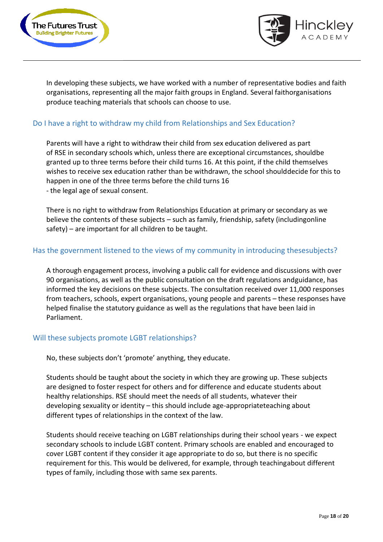



In developing these subjects, we have worked with a number of representative bodies and faith organisations, representing all the major faith groups in England. Several faithorganisations produce teaching materials that schools can choose to use.

# Do I have a right to withdraw my child from Relationships and Sex Education?

Parents will have a right to withdraw their child from sex education delivered as part of RSE in secondary schools which, unless there are exceptional circumstances, shouldbe granted up to three terms before their child turns 16. At this point, if the child themselves wishes to receive sex education rather than be withdrawn, the school shoulddecide for this to happen in one of the three terms before the child turns 16 - the legal age of sexual consent.

There is no right to withdraw from Relationships Education at primary or secondary as we believe the contents of these subjects – such as family, friendship, safety (includingonline safety) – are important for all children to be taught.

# Has the government listened to the views of my community in introducing thesesubjects?

A thorough engagement process, involving a public call for evidence and discussions with over 90 organisations, as well as the public consultation on the draft regulations andguidance, has informed the key decisions on these subjects. The consultation received over 11,000 responses from teachers, schools, expert organisations, young people and parents – these responses have helped finalise the statutory guidance as well as the regulations that have been laid in Parliament.

# Will these subjects promote LGBT relationships?

No, these subjects don't 'promote' anything, they educate.

Students should be taught about the society in which they are growing up. These subjects are designed to foster respect for others and for difference and educate students about healthy relationships. RSE should meet the needs of all students, whatever their developing sexuality or identity – this should include age-appropriateteaching about different types of relationships in the context of the law.

Students should receive teaching on LGBT relationships during their school years - we expect secondary schools to include LGBT content. Primary schools are enabled and encouraged to cover LGBT content if they consider it age appropriate to do so, but there is no specific requirement for this. This would be delivered, for example, through teachingabout different types of family, including those with same sex parents.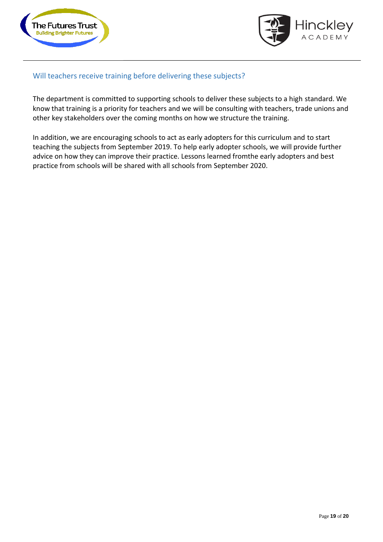



# Will teachers receive training before delivering these subjects?

The department is committed to supporting schools to deliver these subjects to a high standard. We know that training is a priority for teachers and we will be consulting with teachers, trade unions and other key stakeholders over the coming months on how we structure the training.

In addition, we are encouraging schools to act as early adopters for this curriculum and to start teaching the subjects from September 2019. To help early adopter schools, we will provide further advice on how they can improve their practice. Lessons learned fromthe early adopters and best practice from schools will be shared with all schools from September 2020.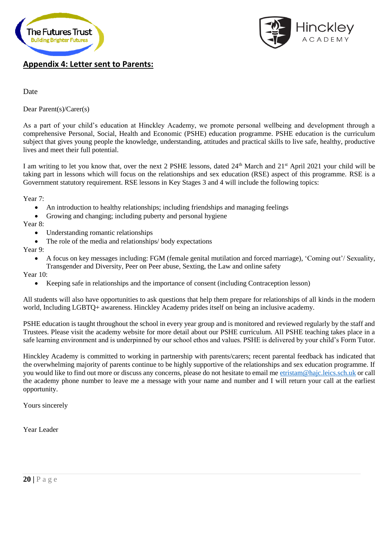



# **Appendix 4: Letter sent to Parents:**

### Date

Dear Parent(s)/Carer(s)

As a part of your child's education at Hinckley Academy, we promote personal wellbeing and development through a comprehensive Personal, Social, Health and Economic (PSHE) education programme. PSHE education is the curriculum subject that gives young people the knowledge, understanding, attitudes and practical skills to live safe, healthy, productive lives and meet their full potential.

I am writing to let you know that, over the next 2 PSHE lessons, dated 24<sup>th</sup> March and 21<sup>st</sup> April 2021 your child will be taking part in lessons which will focus on the relationships and sex education (RSE) aspect of this programme. RSE is a Government statutory requirement. RSE lessons in Key Stages 3 and 4 will include the following topics:

Year 7:

- An introduction to healthy relationships; including friendships and managing feelings
- Growing and changing; including puberty and personal hygiene

Year 8:

- Understanding romantic relationships
- The role of the media and relationships/body expectations

### Year 9:

• A focus on key messages including: FGM (female genital mutilation and forced marriage), 'Coming out'/ Sexuality, Transgender and Diversity, Peer on Peer abuse, Sexting, the Law and online safety

Year 10:

• Keeping safe in relationships and the importance of consent (including Contraception lesson)

All students will also have opportunities to ask questions that help them prepare for relationships of all kinds in the modern world, Including LGBTQ+ awareness. Hinckley Academy prides itself on being an inclusive academy.

PSHE education is taught throughout the school in every year group and is monitored and reviewed regularly by the staff and Trustees. Please visit the academy website for more detail about our PSHE curriculum. All PSHE teaching takes place in a safe learning environment and is underpinned by our school ethos and values. PSHE is delivered by your child's Form Tutor.

Hinckley Academy is committed to working in partnership with parents/carers; recent parental feedback has indicated that the overwhelming majority of parents continue to be highly supportive of the relationships and sex education programme. If you would like to find out more or discuss any concerns, please do not hesitate to email me [etristam@hajc.leics.sch.uk](mailto:etristam@hajc.leics.sch.uk) or call the academy phone number to leave me a message with your name and number and I will return your call at the earliest opportunity.

Yours sincerely

Year Leader